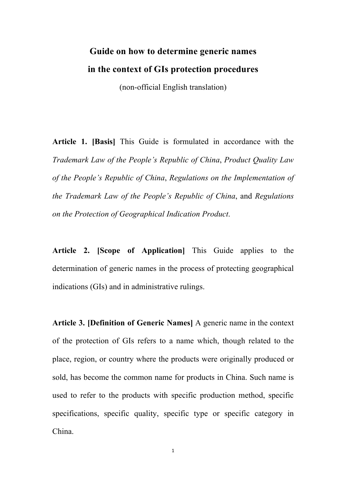## **Guide on how to determine generic names in the context of GIs protection procedures**

(non-official English translation)

**Article 1. [Basis]** This Guide is formulated in accordance with the *Trademark Law of the People's Republic of China*, *Product Quality Law of the People's Republic of China*, *Regulations on the Implementation of the Trademark Law of the People's Republic of China*, and *Regulations on the Protection of Geographical Indication Product*.

**Article 2. [Scope of Application]** This Guide applies to the determination of generic names in the process of protecting geographical indications (GIs) and in administrative rulings.

**Article 3. [Definition of Generic Names]** A generic name in the context of the protection of GIs refers to a name which, though related to the place, region, or country where the products were originally produced or sold, has become the common name for products in China. Such name is used to refer to the products with specific production method, specific specifications, specific quality, specific type or specific category in China.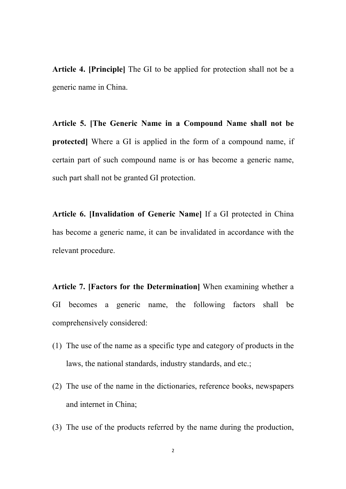**Article 4. [Principle]** The GI to be applied for protection shall not be a generic name in China.

**Article 5. [The Generic Name in a Compound Name shall not be protected]** Where a GI is applied in the form of a compound name, if certain part of such compound name is or has become a generic name, such part shall not be granted GI protection.

**Article 6. [Invalidation of Generic Name]** If a GI protected in China has become a generic name, it can be invalidated in accordance with the relevant procedure.

**Article 7. [Factors for the Determination]** When examining whether a GI becomes a generic name, the following factors shall be comprehensively considered:

- (1) The use of the name as a specific type and category of products in the laws, the national standards, industry standards, and etc.;
- (2) The use of the name in the dictionaries, reference books, newspapers and internet in China;
- (3) The use of the products referred by the name during the production,